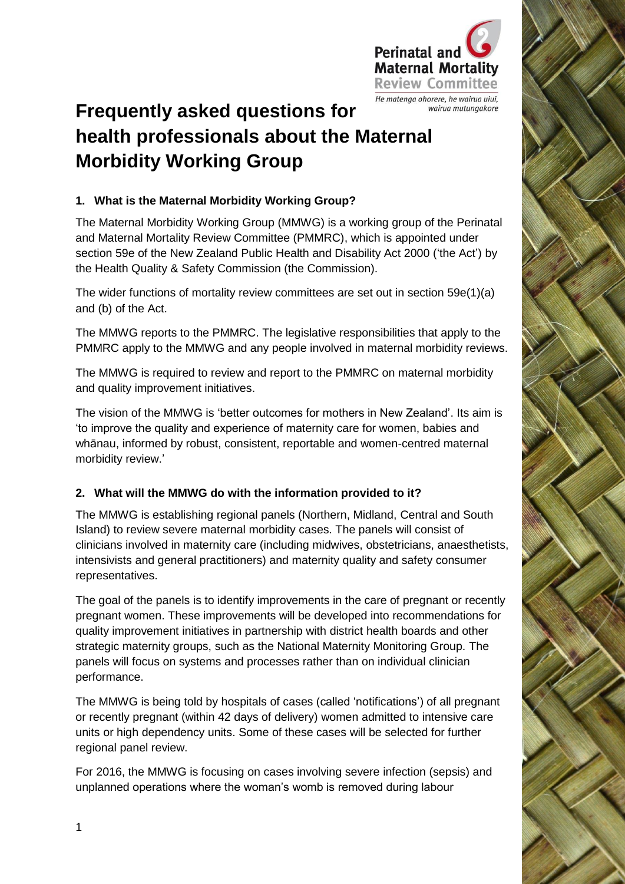

# **Frequently asked questions for health professionals about the Maternal Morbidity Working Group**

#### **1. What is the Maternal Morbidity Working Group?**

The Maternal Morbidity Working Group (MMWG) is a working group of the Perinatal and Maternal Mortality Review Committee (PMMRC), which is appointed under section 59e of the New Zealand Public Health and Disability Act 2000 ('the Act') by the Health Quality & Safety Commission (the Commission).

The wider functions of mortality review committees are set out in section 59e(1)(a) and (b) of the Act.

The MMWG reports to the PMMRC. The legislative responsibilities that apply to the PMMRC apply to the MMWG and any people involved in maternal morbidity reviews.

The MMWG is required to review and report to the PMMRC on maternal morbidity and quality improvement initiatives.

The vision of the MMWG is 'better outcomes for mothers in New Zealand'. Its aim is 'to improve the quality and experience of maternity care for women, babies and whānau, informed by robust, consistent, reportable and women-centred maternal morbidity review.'

### **2. What will the MMWG do with the information provided to it?**

The MMWG is establishing regional panels (Northern, Midland, Central and South Island) to review severe maternal morbidity cases. The panels will consist of clinicians involved in maternity care (including midwives, obstetricians, anaesthetists, intensivists and general practitioners) and maternity quality and safety consumer representatives.

The goal of the panels is to identify improvements in the care of pregnant or recently pregnant women. These improvements will be developed into recommendations for quality improvement initiatives in partnership with district health boards and other strategic maternity groups, such as the National Maternity Monitoring Group. The panels will focus on systems and processes rather than on individual clinician performance.

The MMWG is being told by hospitals of cases (called 'notifications') of all pregnant or recently pregnant (within 42 days of delivery) women admitted to intensive care units or high dependency units. Some of these cases will be selected for further regional panel review.

For 2016, the MMWG is focusing on cases involving severe infection (sepsis) and unplanned operations where the woman's womb is removed during labour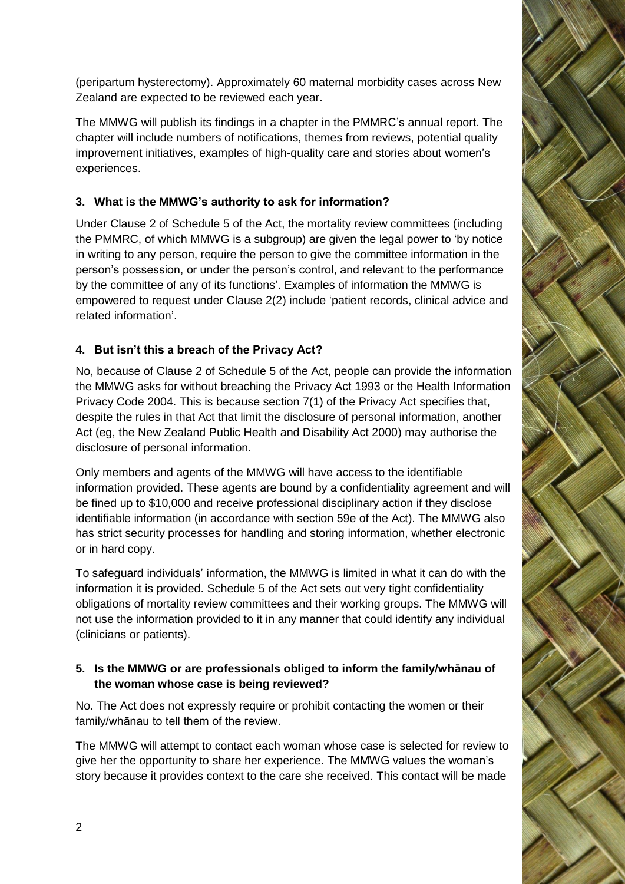(peripartum hysterectomy). Approximately 60 maternal morbidity cases across New Zealand are expected to be reviewed each year.

The MMWG will publish its findings in a chapter in the PMMRC's annual report. The chapter will include numbers of notifications, themes from reviews, potential quality improvement initiatives, examples of high-quality care and stories about women's experiences.

# **3. What is the MMWG's authority to ask for information?**

Under Clause 2 of Schedule 5 of the Act, the mortality review committees (including the PMMRC, of which MMWG is a subgroup) are given the legal power to 'by notice in writing to any person, require the person to give the committee information in the person's possession, or under the person's control, and relevant to the performance by the committee of any of its functions'. Examples of information the MMWG is empowered to request under Clause 2(2) include 'patient records, clinical advice and related information'.

## **4. But isn't this a breach of the Privacy Act?**

No, because of Clause 2 of Schedule 5 of the Act, people can provide the information the MMWG asks for without breaching the Privacy Act 1993 or the Health Information Privacy Code 2004. This is because section 7(1) of the Privacy Act specifies that, despite the rules in that Act that limit the disclosure of personal information, another Act (eg, the New Zealand Public Health and Disability Act 2000) may authorise the disclosure of personal information.

Only members and agents of the MMWG will have access to the identifiable information provided. These agents are bound by a confidentiality agreement and will be fined up to \$10,000 and receive professional disciplinary action if they disclose identifiable information (in accordance with section 59e of the Act). The MMWG also has strict security processes for handling and storing information, whether electronic or in hard copy.

To safeguard individuals' information, the MMWG is limited in what it can do with the information it is provided. Schedule 5 of the Act sets out very tight confidentiality obligations of mortality review committees and their working groups. The MMWG will not use the information provided to it in any manner that could identify any individual (clinicians or patients).

### **5. Is the MMWG or are professionals obliged to inform the family/whānau of the woman whose case is being reviewed?**

No. The Act does not expressly require or prohibit contacting the women or their family/whānau to tell them of the review.

The MMWG will attempt to contact each woman whose case is selected for review to give her the opportunity to share her experience. The MMWG values the woman's story because it provides context to the care she received. This contact will be made